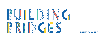

#### **ACTIVITY GUIDE**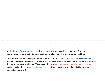At the Center for Architecture, we love exploring bridges with our students! Bridges are amazing structures that showcase thoughtful engineering and creative thinking.

This booklet will introduce you to four types of bridges: beam, truss, arch, and suspension. Each page is illustrated with diagrams and body exercises to help you understand the structural forces at work in each bridge. The pushing force of  $\rightarrow$  compression  $\leftarrow$  is shown in orange, and the pulling force of  $\leftarrow$  tension  $\rightarrow$  in green. Once you've learned these bridge basics, try designing your own!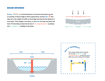#### **BEAM BRIDGES**

A beam **interest is a horizontal piece of structure that spans across** an opening. A beam bridge is often supported by vertical piers  $\blacksquare$  that help carry the weight of traffic on the bridge and shorten the distance it must span. If the weight is too heavy, or the span too long, the beam will bend. This bending creates the forces of  $\rightarrow$  compression  $\leftarrow$  (pushing) and  $\leftarrow$  tension  $\rightarrow$  ( pulling ) in the beam.



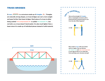# **TRUSS BRIDGES**

A truss  $\sqrt{NVM}$  is a structure made up of triangles  $\triangle$  . Triangles are naturally strong shapes, so truss bridges can carry more weight and span further than beam bridges. Each piece of a truss is either being pushed  $\rightarrow$  (compressed )  $\leftarrow$  or pulled  $\leftarrow$  (tensed )  $\rightarrow$  , but not both, so a truss doesn't bend easily. It is also much lighter than a beam since it is made up of individual pieces instead of solid material.

Test out the strength of triangles. Form a rectangular structure with a friend and have someone push on you from the side. What happens? Now create a truss with your friend and try it again. Can you feel the  $\leftarrow$  tension  $\rightarrow$  and  $\rightarrow$  compression  $\leftarrow$ in your legs as they try to resist this force and keep your structure strong? **TR<sup>Y</sup> <sup>I</sup><sup>T</sup> <sup>Y</sup>OURSELF!**

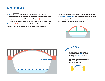# **ARCH BRIDGES**

An arch  $\mathbb{P}$  is a structure shaped like a semi-circle. When a bridge roadway sits on top of an arch, the weight of traffic pushes down on the arch. This pushing force  $\rightarrow$  ( compression )  $\leftarrow$ is carried along the curve of the arch to the abutments at each end. Abutments **a**  $\blacksquare$  are heavy supports that push back in from both sides to make sure the arch doesn't flatten out or collapse.

When the roadway hangs down from the arch, it is called a bowstring arch bridge. The roadway takes the place of the abutments and works in  $\leftarrow$  tension  $\rightarrow$ , pulling in on both ends of the arch to keep its shape.



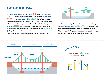# **SUSPENSION BRIDGES**

In a suspension bridge, strong towers  $\perp$   $\perp$  support a main cable that is pulled tightly at each end by heavy anchorages **.** Straight suspender cables **illight** hang from the main cable and hold and lift the roadway along its span. This unique design allows suspension bridges to span the furthest of all bridge types. Trusses ANVA are often used to stiffen the long roadways of these bridges. Suspension bridge cables are always in  $\leftarrow$  tension  $\rightarrow$ (pulling). The towers, however, are in  $\rightarrow$  compression  $\leftarrow$  and must stand strong to resist the downward pull of the main cable.



A cable-stayed bridge is a new form of suspension bridge that has diagonal cables  $\sqrt{N}$  stretching directly from a central tower to the roadway, with no main cable. These bridges don't span as far as classic suspension bridges, but use less material and are less expensive to build.